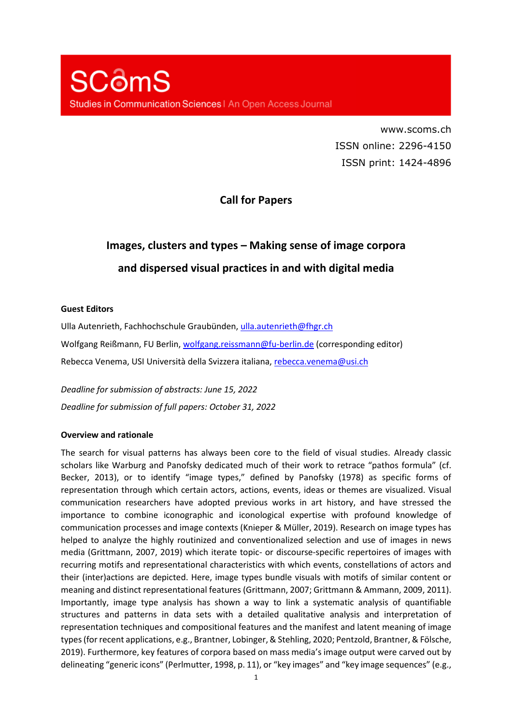www.scoms.ch ISSN online: 2296-4150 ISSN print: 1424-4896

## **Call for Papers**

# **Images, clusters and types – Making sense of image corpora and dispersed visual practices in and with digital media**

#### **Guest Editors**

Ulla Autenrieth, Fachhochschule Graubünden, ulla.autenrieth@fhgr.ch Wolfgang Reißmann, FU Berlin, wolfgang.reissmann@fu-berlin.de (corresponding editor) Rebecca Venema, USI Università della Svizzera italiana, rebecca.venema@usi.ch

*Deadline for submission of abstracts: June 15, 2022 Deadline for submission of full papers: October 31, 2022* 

#### **Overview and rationale**

The search for visual patterns has always been core to the field of visual studies. Already classic scholars like Warburg and Panofsky dedicated much of their work to retrace "pathos formula" (cf. Becker, 2013), or to identify "image types," defined by Panofsky (1978) as specific forms of representation through which certain actors, actions, events, ideas or themes are visualized. Visual communication researchers have adopted previous works in art history, and have stressed the importance to combine iconographic and iconological expertise with profound knowledge of communication processes and image contexts (Knieper & Müller, 2019). Research on image types has helped to analyze the highly routinized and conventionalized selection and use of images in news media (Grittmann, 2007, 2019) which iterate topic- or discourse-specific repertoires of images with recurring motifs and representational characteristics with which events, constellations of actors and their (inter)actions are depicted. Here, image types bundle visuals with motifs of similar content or meaning and distinct representational features (Grittmann, 2007; Grittmann & Ammann, 2009, 2011). Importantly, image type analysis has shown a way to link a systematic analysis of quantifiable structures and patterns in data sets with a detailed qualitative analysis and interpretation of representation techniques and compositional features and the manifest and latent meaning of image types (for recent applications, e.g., Brantner, Lobinger, & Stehling, 2020; Pentzold, Brantner, & Fölsche, 2019). Furthermore, key features of corpora based on mass media's image output were carved out by delineating "generic icons" (Perlmutter, 1998, p. 11), or "key images" and "key image sequences" (e.g.,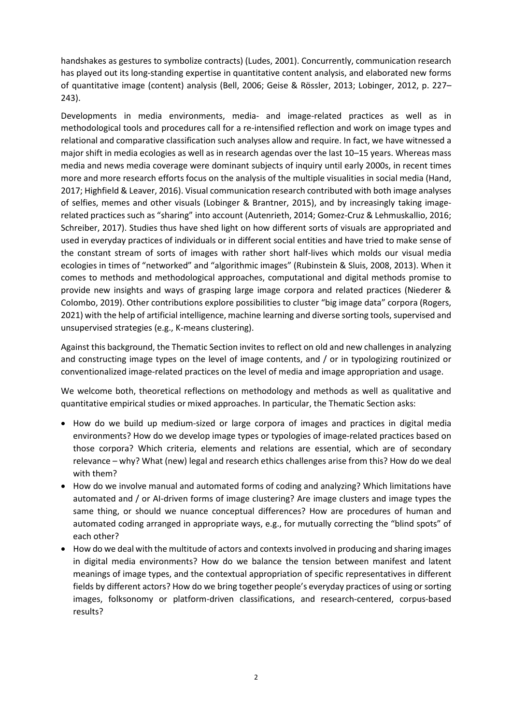handshakes as gestures to symbolize contracts) (Ludes, 2001). Concurrently, communication research has played out its long-standing expertise in quantitative content analysis, and elaborated new forms of quantitative image (content) analysis (Bell, 2006; Geise & Rössler, 2013; Lobinger, 2012, p. 227– 243).

Developments in media environments, media- and image-related practices as well as in methodological tools and procedures call for a re-intensified reflection and work on image types and relational and comparative classification such analyses allow and require. In fact, we have witnessed a major shift in media ecologies as well as in research agendas over the last 10–15 years. Whereas mass media and news media coverage were dominant subjects of inquiry until early 2000s, in recent times more and more research efforts focus on the analysis of the multiple visualities in social media (Hand, 2017; Highfield & Leaver, 2016). Visual communication research contributed with both image analyses of selfies, memes and other visuals (Lobinger & Brantner, 2015), and by increasingly taking imagerelated practices such as "sharing" into account (Autenrieth, 2014; Gomez-Cruz & Lehmuskallio, 2016; Schreiber, 2017). Studies thus have shed light on how different sorts of visuals are appropriated and used in everyday practices of individuals or in different social entities and have tried to make sense of the constant stream of sorts of images with rather short half-lives which molds our visual media ecologies in times of "networked" and "algorithmic images" (Rubinstein & Sluis, 2008, 2013). When it comes to methods and methodological approaches, computational and digital methods promise to provide new insights and ways of grasping large image corpora and related practices (Niederer & Colombo, 2019). Other contributions explore possibilities to cluster "big image data" corpora (Rogers, 2021) with the help of artificial intelligence, machine learning and diverse sorting tools, supervised and unsupervised strategies (e.g., K-means clustering).

Against this background, the Thematic Section invites to reflect on old and new challenges in analyzing and constructing image types on the level of image contents, and / or in typologizing routinized or conventionalized image-related practices on the level of media and image appropriation and usage.

We welcome both, theoretical reflections on methodology and methods as well as qualitative and quantitative empirical studies or mixed approaches. In particular, the Thematic Section asks:

- How do we build up medium-sized or large corpora of images and practices in digital media environments? How do we develop image types or typologies of image-related practices based on those corpora? Which criteria, elements and relations are essential, which are of secondary relevance – why? What (new) legal and research ethics challenges arise from this? How do we deal with them?
- How do we involve manual and automated forms of coding and analyzing? Which limitations have automated and / or AI-driven forms of image clustering? Are image clusters and image types the same thing, or should we nuance conceptual differences? How are procedures of human and automated coding arranged in appropriate ways, e.g., for mutually correcting the "blind spots" of each other?
- How do we deal with the multitude of actors and contexts involved in producing and sharing images in digital media environments? How do we balance the tension between manifest and latent meanings of image types, and the contextual appropriation of specific representatives in different fields by different actors? How do we bring together people's everyday practices of using or sorting images, folksonomy or platform-driven classifications, and research-centered, corpus-based results?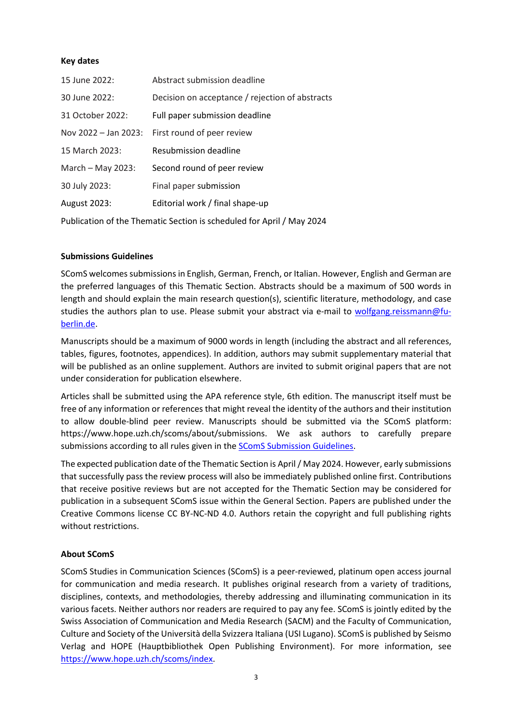#### **Key dates**

| 15 June 2022:        | Abstract submission deadline                    |
|----------------------|-------------------------------------------------|
| 30 June 2022:        | Decision on acceptance / rejection of abstracts |
| 31 October 2022:     | Full paper submission deadline                  |
| Nov 2022 - Jan 2023: | First round of peer review                      |
| 15 March 2023:       | Resubmission deadline                           |
| March - May 2023:    | Second round of peer review                     |
| 30 July 2023:        | Final paper submission                          |
| August 2023:         | Editorial work / final shape-up                 |
|                      |                                                 |

Publication of the Thematic Section is scheduled for April / May 2024

#### **Submissions Guidelines**

SComS welcomes submissions in English, German, French, or Italian. However, English and German are the preferred languages of this Thematic Section. Abstracts should be a maximum of 500 words in length and should explain the main research question(s), scientific literature, methodology, and case studies the authors plan to use. Please submit your abstract via e-mail to wolfgang.reissmann@fuberlin.de.

Manuscripts should be a maximum of 9000 words in length (including the abstract and all references, tables, figures, footnotes, appendices). In addition, authors may submit supplementary material that will be published as an online supplement. Authors are invited to submit original papers that are not under consideration for publication elsewhere.

Articles shall be submitted using the APA reference style, 6th edition. The manuscript itself must be free of any information or references that might reveal the identity of the authors and their institution to allow double-blind peer review. Manuscripts should be submitted via the SComS platform: https://www.hope.uzh.ch/scoms/about/submissions. We ask authors to carefully prepare submissions according to all rules given in the SComS Submission Guidelines.

The expected publication date of the Thematic Section is April / May 2024. However, early submissions that successfully pass the review process will also be immediately published online first. Contributions that receive positive reviews but are not accepted for the Thematic Section may be considered for publication in a subsequent SComS issue within the General Section. Papers are published under the Creative Commons license CC BY-NC-ND 4.0. Authors retain the copyright and full publishing rights without restrictions.

### **About SComS**

SComS Studies in Communication Sciences (SComS) is a peer-reviewed, platinum open access journal for communication and media research. It publishes original research from a variety of traditions, disciplines, contexts, and methodologies, thereby addressing and illuminating communication in its various facets. Neither authors nor readers are required to pay any fee. SComS is jointly edited by the Swiss Association of Communication and Media Research (SACM) and the Faculty of Communication, Culture and Society of the Università della Svizzera Italiana (USI Lugano). SComS is published by Seismo Verlag and HOPE (Hauptbibliothek Open Publishing Environment). For more information, see https://www.hope.uzh.ch/scoms/index.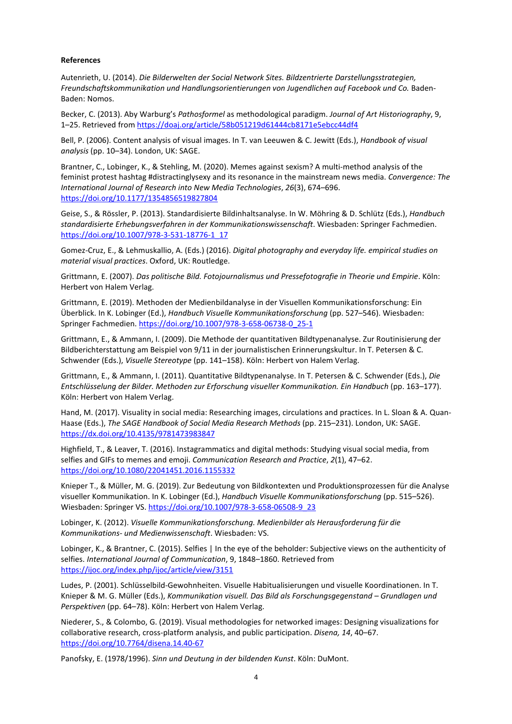#### **References**

Autenrieth, U. (2014). *Die Bilderwelten der Social Network Sites. Bildzentrierte Darstellungsstrategien, Freundschaftskommunikation und Handlungsorientierungen von Jugendlichen auf Facebook und Co.* Baden-Baden: Nomos.

Becker, C. (2013). Aby Warburg's *Pathosformel* as methodological paradigm. *Journal of Art Historiography*, 9, 1–25. Retrieved from https://doaj.org/article/58b051219d61444cb8171e5ebcc44df4

Bell, P. (2006). Content analysis of visual images. In T. van Leeuwen & C. Jewitt (Eds.), *Handbook of visual analysis* (pp. 10–34). London, UK: SAGE.

Brantner, C., Lobinger, K., & Stehling, M. (2020). Memes against sexism? A multi-method analysis of the feminist protest hashtag #distractinglysexy and its resonance in the mainstream news media. *Convergence: The International Journal of Research into New Media Technologies*, *26*(3), 674–696. https://doi.org/10.1177/1354856519827804

Geise, S., & Rössler, P. (2013). Standardisierte Bildinhaltsanalyse. In W. Möhring & D. Schlütz (Eds.), *Handbuch standardisierte Erhebungsverfahren in der Kommunikationswissenschaft*. Wiesbaden: Springer Fachmedien. https://doi.org/10.1007/978-3-531-18776-1\_17

Gomez-Cruz, E., & Lehmuskallio, A. (Eds.) (2016). *Digital photography and everyday life. empirical studies on material visual practices*. Oxford, UK: Routledge.

Grittmann, E. (2007). *Das politische Bild. Fotojournalismus und Pressefotografie in Theorie und Empirie*. Köln: Herbert von Halem Verlag.

Grittmann, E. (2019). Methoden der Medienbildanalyse in der Visuellen Kommunikationsforschung: Ein Überblick. In K. Lobinger (Ed.), *Handbuch Visuelle Kommunikationsforschung* (pp. 527–546). Wiesbaden: Springer Fachmedien. https://doi.org/10.1007/978-3-658-06738-0\_25-1

Grittmann, E., & Ammann, I. (2009). Die Methode der quantitativen Bildtypenanalyse. Zur Routinisierung der Bildberichterstattung am Beispiel von 9/11 in der journalistischen Erinnerungskultur. In T. Petersen & C. Schwender (Eds.), *Visuelle Stereotype* (pp. 141–158). Köln: Herbert von Halem Verlag.

Grittmann, E., & Ammann, I. (2011). Quantitative Bildtypenanalyse. In T. Petersen & C. Schwender (Eds.), *Die Entschlüsselung der Bilder. Methoden zur Erforschung visueller Kommunikation. Ein Handbuch* (pp. 163–177). Köln: Herbert von Halem Verlag.

Hand, M. (2017). Visuality in social media: Researching images, circulations and practices. In L. Sloan & A. Quan-Haase (Eds.), *The SAGE Handbook of Social Media Research Methods* (pp. 215–231). London, UK: SAGE. https://dx.doi.org/10.4135/9781473983847

Highfield, T., & Leaver, T. (2016). Instagrammatics and digital methods: Studying visual social media, from selfies and GIFs to memes and emoji. *Communication Research and Practice*, *2*(1), 47–62. https://doi.org/10.1080/22041451.2016.1155332

Knieper T., & Müller, M. G. (2019). Zur Bedeutung von Bildkontexten und Produktionsprozessen für die Analyse visueller Kommunikation. In K. Lobinger (Ed.), *Handbuch Visuelle Kommunikationsforschung* (pp. 515–526). Wiesbaden: Springer VS. https://doi.org/10.1007/978-3-658-06508-9\_23

Lobinger, K. (2012). *Visuelle Kommunikationsforschung. Medienbilder als Herausforderung für die Kommunikations- und Medienwissenschaft*. Wiesbaden: VS.

Lobinger, K., & Brantner, C. (2015). Selfies | In the eye of the beholder: Subjective views on the authenticity of selfies. *International Journal of Communication*, 9, 1848–1860. Retrieved from https://ijoc.org/index.php/ijoc/article/view/3151

Ludes, P. (2001). Schlüsselbild-Gewohnheiten. Visuelle Habitualisierungen und visuelle Koordinationen. In T. Knieper & M. G. Müller (Eds.), *Kommunikation visuell. Das Bild als Forschungsgegenstand – Grundlagen und Perspektiven* (pp. 64–78). Köln: Herbert von Halem Verlag.

Niederer, S., & Colombo, G. (2019). Visual methodologies for networked images: Designing visualizations for collaborative research, cross-platform analysis, and public participation. *Disena, 14*, 40–67. https://doi.org/10.7764/disena.14.40-67

Panofsky, E. (1978/1996). *Sinn und Deutung in der bildenden Kunst*. Köln: DuMont.